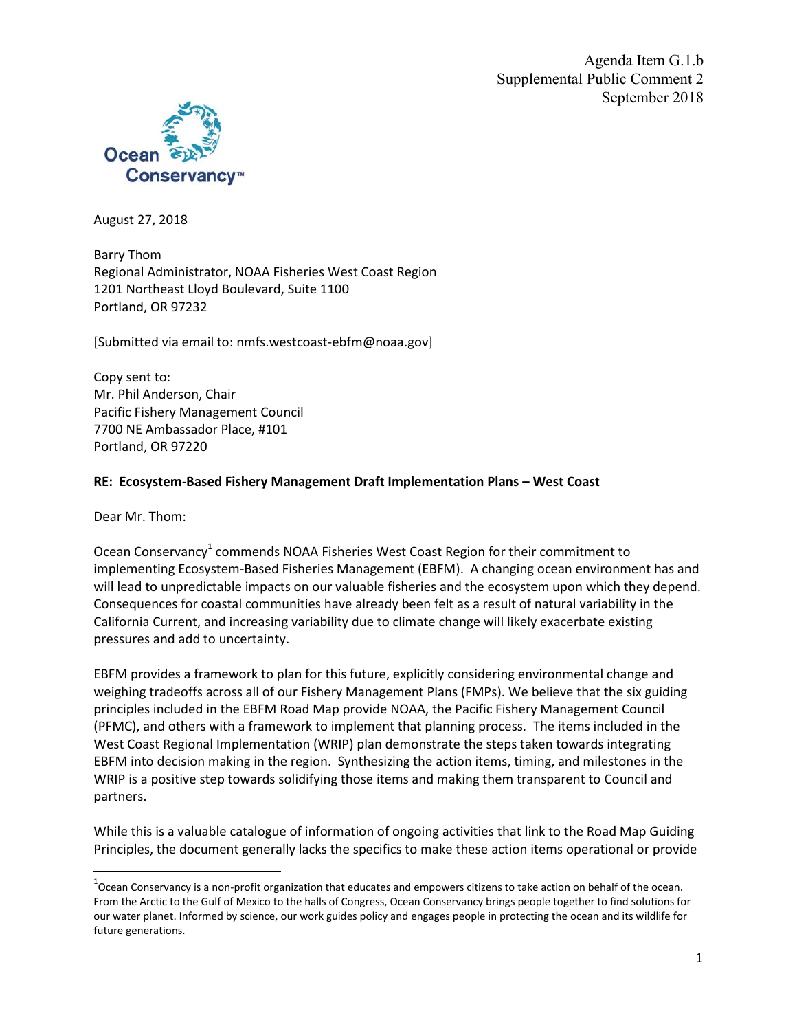Agenda Item G.1.b Supplemental Public Comment 2 September 2018



August 27, 2018

Barry Thom Regional Administrator, NOAA Fisheries West Coast Region 1201 Northeast Lloyd Boulevard, Suite 1100 Portland, OR 97232

[Submitted via email to: nmfs.westcoast-ebfm@noaa.gov]

Copy sent to: Mr. Phil Anderson, Chair Pacific Fishery Management Council 7700 NE Ambassador Place, #101 Portland, OR 97220

### **RE: Ecosystem-Based Fishery Management Draft Implementation Plans – West Coast**

Dear Mr. Thom:

Ocean Conservancy<sup>1</sup> commends NOAA Fisheries West Coast Region for their commitment to implementing Ecosystem-Based Fisheries Management (EBFM). A changing ocean environment has and will lead to unpredictable impacts on our valuable fisheries and the ecosystem upon which they depend. Consequences for coastal communities have already been felt as a result of natural variability in the California Current, and increasing variability due to climate change will likely exacerbate existing pressures and add to uncertainty.

EBFM provides a framework to plan for this future, explicitly considering environmental change and weighing tradeoffs across all of our Fishery Management Plans (FMPs). We believe that the six guiding principles included in the EBFM Road Map provide NOAA, the Pacific Fishery Management Council (PFMC), and others with a framework to implement that planning process. The items included in the West Coast Regional Implementation (WRIP) plan demonstrate the steps taken towards integrating EBFM into decision making in the region. Synthesizing the action items, timing, and milestones in the WRIP is a positive step towards solidifying those items and making them transparent to Council and partners.

While this is a valuable catalogue of information of ongoing activities that link to the Road Map Guiding Principles, the document generally lacks the specifics to make these action items operational or provide

 $^1$ Ocean Conservancy is a non-profit organization that educates and empowers citizens to take action on behalf of the ocean. From the Arctic to the Gulf of Mexico to the halls of Congress, Ocean Conservancy brings people together to find solutions for our water planet. Informed by science, our work guides policy and engages people in protecting the ocean and its wildlife for future generations.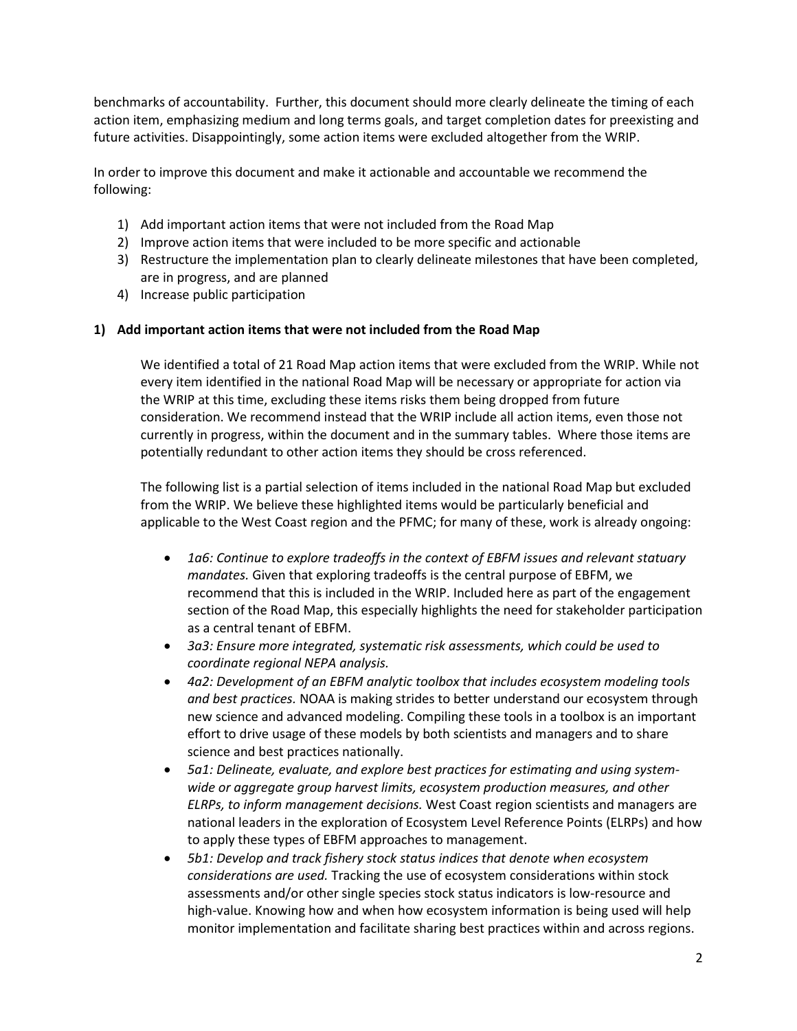benchmarks of accountability. Further, this document should more clearly delineate the timing of each action item, emphasizing medium and long terms goals, and target completion dates for preexisting and future activities. Disappointingly, some action items were excluded altogether from the WRIP.

In order to improve this document and make it actionable and accountable we recommend the following:

- 1) Add important action items that were not included from the Road Map
- 2) Improve action items that were included to be more specific and actionable
- 3) Restructure the implementation plan to clearly delineate milestones that have been completed, are in progress, and are planned
- 4) Increase public participation

#### **1) Add important action items that were not included from the Road Map**

We identified a total of 21 Road Map action items that were excluded from the WRIP. While not every item identified in the national Road Map will be necessary or appropriate for action via the WRIP at this time, excluding these items risks them being dropped from future consideration. We recommend instead that the WRIP include all action items, even those not currently in progress, within the document and in the summary tables. Where those items are potentially redundant to other action items they should be cross referenced.

The following list is a partial selection of items included in the national Road Map but excluded from the WRIP. We believe these highlighted items would be particularly beneficial and applicable to the West Coast region and the PFMC; for many of these, work is already ongoing:

- *1a6: Continue to explore tradeoffs in the context of EBFM issues and relevant statuary mandates.* Given that exploring tradeoffs is the central purpose of EBFM, we recommend that this is included in the WRIP. Included here as part of the engagement section of the Road Map, this especially highlights the need for stakeholder participation as a central tenant of EBFM.
- *3a3: Ensure more integrated, systematic risk assessments, which could be used to coordinate regional NEPA analysis.*
- *4a2: Development of an EBFM analytic toolbox that includes ecosystem modeling tools and best practices.* NOAA is making strides to better understand our ecosystem through new science and advanced modeling. Compiling these tools in a toolbox is an important effort to drive usage of these models by both scientists and managers and to share science and best practices nationally.
- *5a1: Delineate, evaluate, and explore best practices for estimating and using systemwide or aggregate group harvest limits, ecosystem production measures, and other ELRPs, to inform management decisions.* West Coast region scientists and managers are national leaders in the exploration of Ecosystem Level Reference Points (ELRPs) and how to apply these types of EBFM approaches to management.
- *5b1: Develop and track fishery stock status indices that denote when ecosystem considerations are used.* Tracking the use of ecosystem considerations within stock assessments and/or other single species stock status indicators is low-resource and high-value. Knowing how and when how ecosystem information is being used will help monitor implementation and facilitate sharing best practices within and across regions.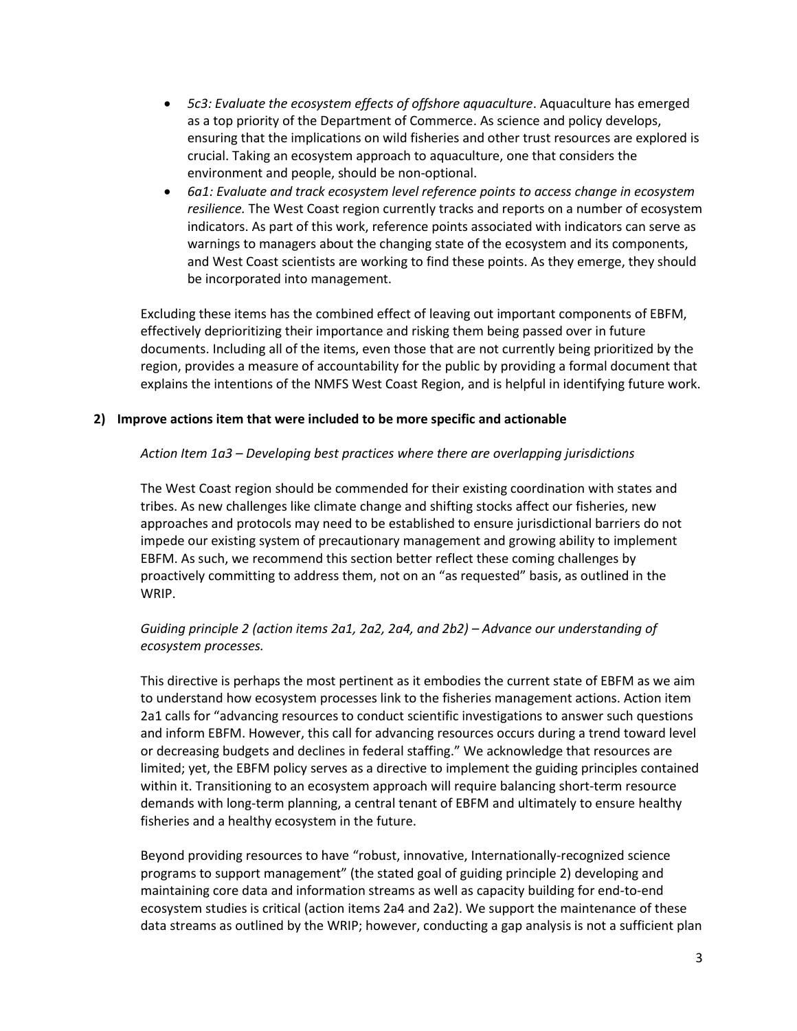- *5c3: Evaluate the ecosystem effects of offshore aquaculture*. Aquaculture has emerged as a top priority of the Department of Commerce. As science and policy develops, ensuring that the implications on wild fisheries and other trust resources are explored is crucial. Taking an ecosystem approach to aquaculture, one that considers the environment and people, should be non-optional.
- *6a1: Evaluate and track ecosystem level reference points to access change in ecosystem resilience.* The West Coast region currently tracks and reports on a number of ecosystem indicators. As part of this work, reference points associated with indicators can serve as warnings to managers about the changing state of the ecosystem and its components, and West Coast scientists are working to find these points. As they emerge, they should be incorporated into management.

Excluding these items has the combined effect of leaving out important components of EBFM, effectively deprioritizing their importance and risking them being passed over in future documents. Including all of the items, even those that are not currently being prioritized by the region, provides a measure of accountability for the public by providing a formal document that explains the intentions of the NMFS West Coast Region, and is helpful in identifying future work.

# **2) Improve actions item that were included to be more specific and actionable**

# *Action Item 1a3 – Developing best practices where there are overlapping jurisdictions*

The West Coast region should be commended for their existing coordination with states and tribes. As new challenges like climate change and shifting stocks affect our fisheries, new approaches and protocols may need to be established to ensure jurisdictional barriers do not impede our existing system of precautionary management and growing ability to implement EBFM. As such, we recommend this section better reflect these coming challenges by proactively committing to address them, not on an "as requested" basis, as outlined in the WRIP.

# *Guiding principle 2 (action items 2a1, 2a2, 2a4, and 2b2) – Advance our understanding of ecosystem processes.*

This directive is perhaps the most pertinent as it embodies the current state of EBFM as we aim to understand how ecosystem processes link to the fisheries management actions. Action item 2a1 calls for "advancing resources to conduct scientific investigations to answer such questions and inform EBFM. However, this call for advancing resources occurs during a trend toward level or decreasing budgets and declines in federal staffing." We acknowledge that resources are limited; yet, the EBFM policy serves as a directive to implement the guiding principles contained within it. Transitioning to an ecosystem approach will require balancing short-term resource demands with long-term planning, a central tenant of EBFM and ultimately to ensure healthy fisheries and a healthy ecosystem in the future.

Beyond providing resources to have "robust, innovative, Internationally-recognized science programs to support management" (the stated goal of guiding principle 2) developing and maintaining core data and information streams as well as capacity building for end-to-end ecosystem studies is critical (action items 2a4 and 2a2). We support the maintenance of these data streams as outlined by the WRIP; however, conducting a gap analysis is not a sufficient plan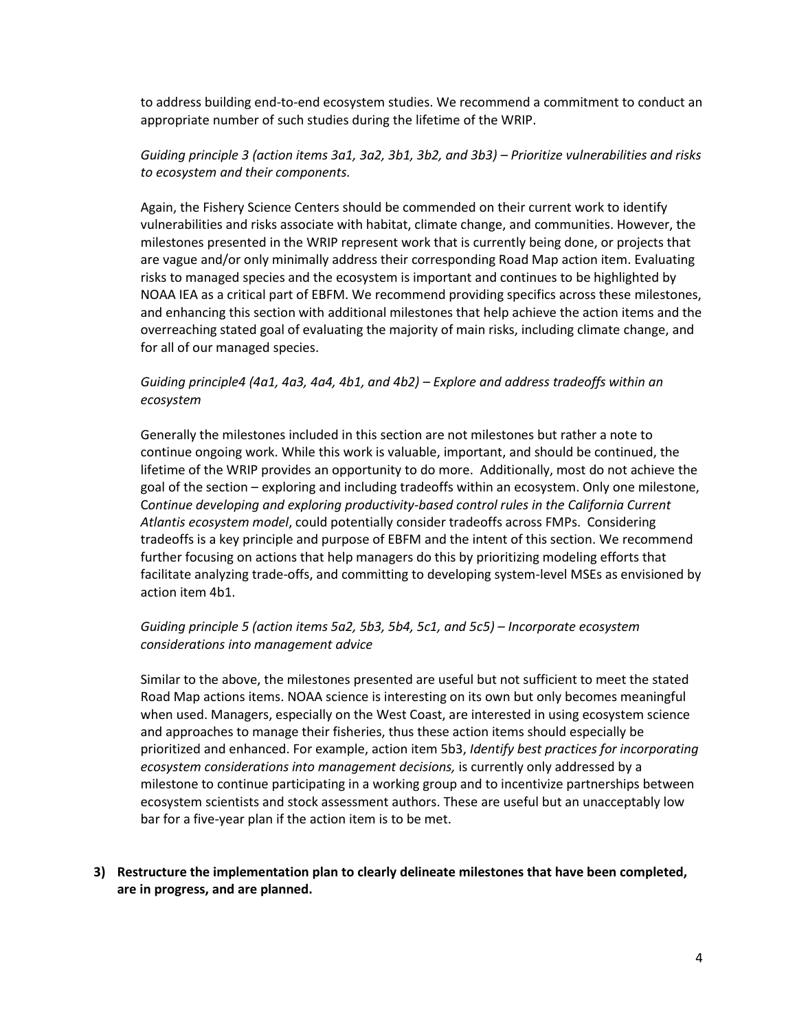to address building end-to-end ecosystem studies. We recommend a commitment to conduct an appropriate number of such studies during the lifetime of the WRIP.

# *Guiding principle 3 (action items 3a1, 3a2, 3b1, 3b2, and 3b3) – Prioritize vulnerabilities and risks to ecosystem and their components.*

Again, the Fishery Science Centers should be commended on their current work to identify vulnerabilities and risks associate with habitat, climate change, and communities. However, the milestones presented in the WRIP represent work that is currently being done, or projects that are vague and/or only minimally address their corresponding Road Map action item. Evaluating risks to managed species and the ecosystem is important and continues to be highlighted by NOAA IEA as a critical part of EBFM. We recommend providing specifics across these milestones, and enhancing this section with additional milestones that help achieve the action items and the overreaching stated goal of evaluating the majority of main risks, including climate change, and for all of our managed species.

# *Guiding principle4 (4a1, 4a3, 4a4, 4b1, and 4b2) – Explore and address tradeoffs within an ecosystem*

Generally the milestones included in this section are not milestones but rather a note to continue ongoing work. While this work is valuable, important, and should be continued, the lifetime of the WRIP provides an opportunity to do more. Additionally, most do not achieve the goal of the section – exploring and including tradeoffs within an ecosystem. Only one milestone, C*ontinue developing and exploring productivity-based control rules in the California Current Atlantis ecosystem model*, could potentially consider tradeoffs across FMPs. Considering tradeoffs is a key principle and purpose of EBFM and the intent of this section. We recommend further focusing on actions that help managers do this by prioritizing modeling efforts that facilitate analyzing trade-offs, and committing to developing system-level MSEs as envisioned by action item 4b1.

# *Guiding principle 5 (action items 5a2, 5b3, 5b4, 5c1, and 5c5) – Incorporate ecosystem considerations into management advice*

Similar to the above, the milestones presented are useful but not sufficient to meet the stated Road Map actions items. NOAA science is interesting on its own but only becomes meaningful when used. Managers, especially on the West Coast, are interested in using ecosystem science and approaches to manage their fisheries, thus these action items should especially be prioritized and enhanced. For example, action item 5b3, *Identify best practices for incorporating ecosystem considerations into management decisions,* is currently only addressed by a milestone to continue participating in a working group and to incentivize partnerships between ecosystem scientists and stock assessment authors. These are useful but an unacceptably low bar for a five-year plan if the action item is to be met.

### **3) Restructure the implementation plan to clearly delineate milestones that have been completed, are in progress, and are planned.**